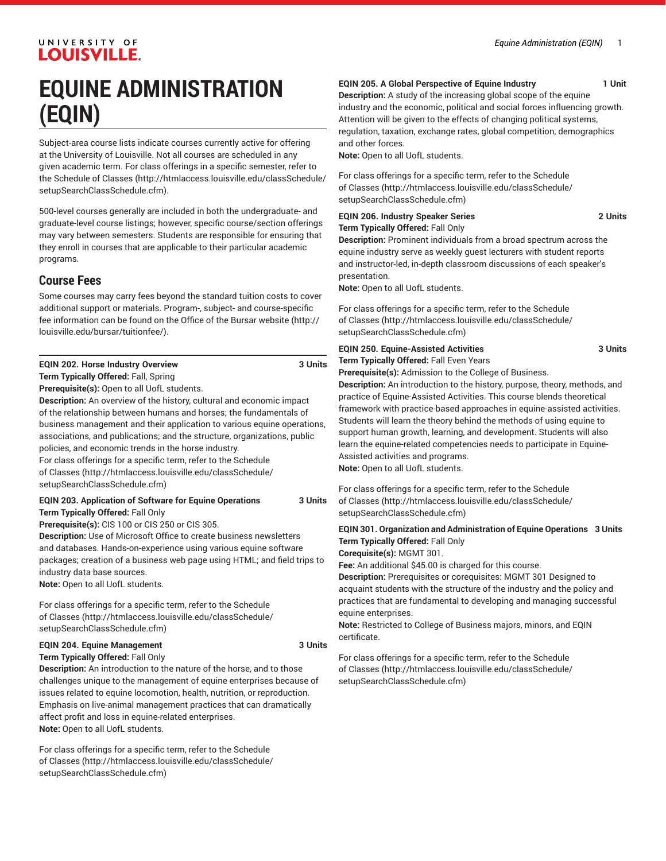# **EQUINE ADMINISTRATION (EQIN)**

Subject-area course lists indicate courses currently active for offering at the University of Louisville. Not all courses are scheduled in any given academic term. For class offerings in a specific semester, refer to the [Schedule of Classes](http://htmlaccess.louisville.edu/classSchedule/setupSearchClassSchedule.cfm) ([http://htmlaccess.louisville.edu/classSchedule/](http://htmlaccess.louisville.edu/classSchedule/setupSearchClassSchedule.cfm) [setupSearchClassSchedule.cfm\)](http://htmlaccess.louisville.edu/classSchedule/setupSearchClassSchedule.cfm).

500-level courses generally are included in both the undergraduate- and graduate-level course listings; however, specific course/section offerings may vary between semesters. Students are responsible for ensuring that they enroll in courses that are applicable to their particular academic programs.

# **Course Fees**

Some courses may carry fees beyond the standard tuition costs to cover additional support or materials. Program-, subject- and course-specific fee information can be found on the [Office of the Bursar website](http://louisville.edu/bursar/tuitionfee/) ([http://](http://louisville.edu/bursar/tuitionfee/) [louisville.edu/bursar/tuitionfee/](http://louisville.edu/bursar/tuitionfee/)).

|  |  | <b>EQIN 202. Horse Industry Overview</b> |  |  | 3 Units |
|--|--|------------------------------------------|--|--|---------|
|  |  |                                          |  |  |         |

**Term Typically Offered:** Fall, Spring **Prerequisite(s):** Open to all UofL students.

**Description:** An overview of the history, cultural and economic impact of the relationship between humans and horses; the fundamentals of business management and their application to various equine operations, associations, and publications; and the structure, organizations, public policies, and economic trends in the horse industry.

For class offerings for a specific term, refer to the [Schedule](http://htmlaccess.louisville.edu/classSchedule/setupSearchClassSchedule.cfm) [of Classes \(http://htmlaccess.louisville.edu/classSchedule/](http://htmlaccess.louisville.edu/classSchedule/setupSearchClassSchedule.cfm) [setupSearchClassSchedule.cfm\)](http://htmlaccess.louisville.edu/classSchedule/setupSearchClassSchedule.cfm)

## **EQIN 203. Application of Software for Equine Operations 3 Units Term Typically Offered:** Fall Only

**Prerequisite(s):** CIS 100 or CIS 250 or CIS 305.

**Description:** Use of Microsoft Office to create business newsletters and databases. Hands-on-experience using various equine software packages; creation of a business web page using HTML; and field trips to industry data base sources. **Note:** Open to all UofL students.

For class offerings for a specific term, refer to the [Schedule](http://htmlaccess.louisville.edu/classSchedule/setupSearchClassSchedule.cfm) [of Classes \(http://htmlaccess.louisville.edu/classSchedule/](http://htmlaccess.louisville.edu/classSchedule/setupSearchClassSchedule.cfm) [setupSearchClassSchedule.cfm\)](http://htmlaccess.louisville.edu/classSchedule/setupSearchClassSchedule.cfm)

# **EQIN 204. Equine Management 3 Units Term Typically Offered:** Fall Only

**Description:** An introduction to the nature of the horse, and to those challenges unique to the management of equine enterprises because of issues related to equine locomotion, health, nutrition, or reproduction. Emphasis on live-animal management practices that can dramatically affect profit and loss in equine-related enterprises. **Note:** Open to all UofL students.

For class offerings for a specific term, refer to the [Schedule](http://htmlaccess.louisville.edu/classSchedule/setupSearchClassSchedule.cfm) [of Classes \(http://htmlaccess.louisville.edu/classSchedule/](http://htmlaccess.louisville.edu/classSchedule/setupSearchClassSchedule.cfm) [setupSearchClassSchedule.cfm\)](http://htmlaccess.louisville.edu/classSchedule/setupSearchClassSchedule.cfm)

# **EQIN 205. A Global Perspective of Equine Industry 1 Unit**

**Description:** A study of the increasing global scope of the equine industry and the economic, political and social forces influencing growth. Attention will be given to the effects of changing political systems, regulation, taxation, exchange rates, global competition, demographics and other forces.

**Note:** Open to all UofL students.

For class offerings for a specific term, refer to the [Schedule](http://htmlaccess.louisville.edu/classSchedule/setupSearchClassSchedule.cfm) [of Classes](http://htmlaccess.louisville.edu/classSchedule/setupSearchClassSchedule.cfm) ([http://htmlaccess.louisville.edu/classSchedule/](http://htmlaccess.louisville.edu/classSchedule/setupSearchClassSchedule.cfm) [setupSearchClassSchedule.cfm\)](http://htmlaccess.louisville.edu/classSchedule/setupSearchClassSchedule.cfm)

### **EQIN 206. Industry Speaker Series 2 Units Term Typically Offered:** Fall Only

**Description:** Prominent individuals from a broad spectrum across the equine industry serve as weekly guest lecturers with student reports and instructor-led, in-depth classroom discussions of each speaker's presentation.

**Note:** Open to all UofL students.

For class offerings for a specific term, refer to the [Schedule](http://htmlaccess.louisville.edu/classSchedule/setupSearchClassSchedule.cfm) [of Classes](http://htmlaccess.louisville.edu/classSchedule/setupSearchClassSchedule.cfm) ([http://htmlaccess.louisville.edu/classSchedule/](http://htmlaccess.louisville.edu/classSchedule/setupSearchClassSchedule.cfm) [setupSearchClassSchedule.cfm\)](http://htmlaccess.louisville.edu/classSchedule/setupSearchClassSchedule.cfm)

### **EQIN 250. Equine-Assisted Activities 3 Units Term Typically Offered:** Fall Even Years

**Prerequisite(s):** Admission to the College of Business.

**Description:** An introduction to the history, purpose, theory, methods, and practice of Equine-Assisted Activities. This course blends theoretical framework with practice-based approaches in equine-assisted activities. Students will learn the theory behind the methods of using equine to support human growth, learning, and development. Students will also learn the equine-related competencies needs to participate in Equine-Assisted activities and programs. **Note:** Open to all UofL students.

For class offerings for a specific term, refer to the [Schedule](http://htmlaccess.louisville.edu/classSchedule/setupSearchClassSchedule.cfm) [of Classes](http://htmlaccess.louisville.edu/classSchedule/setupSearchClassSchedule.cfm) ([http://htmlaccess.louisville.edu/classSchedule/](http://htmlaccess.louisville.edu/classSchedule/setupSearchClassSchedule.cfm) [setupSearchClassSchedule.cfm\)](http://htmlaccess.louisville.edu/classSchedule/setupSearchClassSchedule.cfm)

**EQIN 301. Organization and Administration of Equine Operations 3 Units Term Typically Offered:** Fall Only **Corequisite(s):** MGMT 301.

**Fee:** An additional \$45.00 is charged for this course.

**Description:** Prerequisites or corequisites: MGMT 301 Designed to acquaint students with the structure of the industry and the policy and practices that are fundamental to developing and managing successful equine enterprises.

**Note:** Restricted to College of Business majors, minors, and EQIN certificate.

For class offerings for a specific term, refer to the [Schedule](http://htmlaccess.louisville.edu/classSchedule/setupSearchClassSchedule.cfm) [of Classes](http://htmlaccess.louisville.edu/classSchedule/setupSearchClassSchedule.cfm) ([http://htmlaccess.louisville.edu/classSchedule/](http://htmlaccess.louisville.edu/classSchedule/setupSearchClassSchedule.cfm) [setupSearchClassSchedule.cfm\)](http://htmlaccess.louisville.edu/classSchedule/setupSearchClassSchedule.cfm)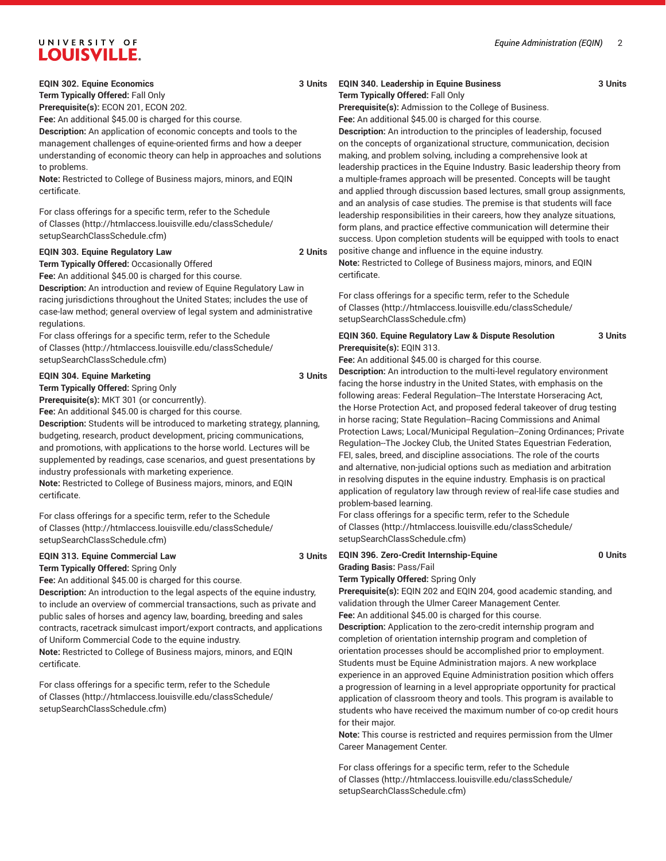**Term Typically Offered:** Fall Only

**Prerequisite(s):** ECON 201, ECON 202.

**Fee:** An additional \$45.00 is charged for this course.

**Description:** An application of economic concepts and tools to the management challenges of equine-oriented firms and how a deeper understanding of economic theory can help in approaches and solutions to problems.

**Note:** Restricted to College of Business majors, minors, and EQIN certificate.

For class offerings for a specific term, refer to the [Schedule](http://htmlaccess.louisville.edu/classSchedule/setupSearchClassSchedule.cfm) [of Classes \(http://htmlaccess.louisville.edu/classSchedule/](http://htmlaccess.louisville.edu/classSchedule/setupSearchClassSchedule.cfm) [setupSearchClassSchedule.cfm\)](http://htmlaccess.louisville.edu/classSchedule/setupSearchClassSchedule.cfm)

### **EQIN 303. Equine Regulatory Law 2 Units**

**Term Typically Offered:** Occasionally Offered

**Fee:** An additional \$45.00 is charged for this course. **Description:** An introduction and review of Equine Regulatory Law in racing jurisdictions throughout the United States; includes the use of

case-law method; general overview of legal system and administrative regulations.

For class offerings for a specific term, refer to the [Schedule](http://htmlaccess.louisville.edu/classSchedule/setupSearchClassSchedule.cfm) [of Classes \(http://htmlaccess.louisville.edu/classSchedule/](http://htmlaccess.louisville.edu/classSchedule/setupSearchClassSchedule.cfm) [setupSearchClassSchedule.cfm\)](http://htmlaccess.louisville.edu/classSchedule/setupSearchClassSchedule.cfm)

### **EQIN 304. Equine Marketing 3 Units**

**Term Typically Offered:** Spring Only

**Prerequisite(s):** MKT 301 (or concurrently).

**Fee:** An additional \$45.00 is charged for this course.

**Description:** Students will be introduced to marketing strategy, planning, budgeting, research, product development, pricing communications, and promotions, with applications to the horse world. Lectures will be supplemented by readings, case scenarios, and guest presentations by industry professionals with marketing experience.

**Note:** Restricted to College of Business majors, minors, and EQIN certificate.

For class offerings for a specific term, refer to the [Schedule](http://htmlaccess.louisville.edu/classSchedule/setupSearchClassSchedule.cfm) [of Classes \(http://htmlaccess.louisville.edu/classSchedule/](http://htmlaccess.louisville.edu/classSchedule/setupSearchClassSchedule.cfm) [setupSearchClassSchedule.cfm\)](http://htmlaccess.louisville.edu/classSchedule/setupSearchClassSchedule.cfm)

# **EQIN 313. Equine Commercial Law 3 Units**

**Term Typically Offered:** Spring Only

**Fee:** An additional \$45.00 is charged for this course.

**Description:** An introduction to the legal aspects of the equine industry, to include an overview of commercial transactions, such as private and public sales of horses and agency law, boarding, breeding and sales contracts, racetrack simulcast import/export contracts, and applications of Uniform Commercial Code to the equine industry.

**Note:** Restricted to College of Business majors, minors, and EQIN certificate.

For class offerings for a specific term, refer to the [Schedule](http://htmlaccess.louisville.edu/classSchedule/setupSearchClassSchedule.cfm) [of Classes \(http://htmlaccess.louisville.edu/classSchedule/](http://htmlaccess.louisville.edu/classSchedule/setupSearchClassSchedule.cfm) [setupSearchClassSchedule.cfm\)](http://htmlaccess.louisville.edu/classSchedule/setupSearchClassSchedule.cfm)

# **EQIN 340. Leadership in Equine Business 3 Units**

**Term Typically Offered:** Fall Only **Prerequisite(s):** Admission to the College of Business. **Fee:** An additional \$45.00 is charged for this course.

**Description:** An introduction to the principles of leadership, focused on the concepts of organizational structure, communication, decision making, and problem solving, including a comprehensive look at leadership practices in the Equine Industry. Basic leadership theory from a multiple-frames approach will be presented. Concepts will be taught and applied through discussion based lectures, small group assignments, and an analysis of case studies. The premise is that students will face leadership responsibilities in their careers, how they analyze situations, form plans, and practice effective communication will determine their success. Upon completion students will be equipped with tools to enact positive change and influence in the equine industry.

**Note:** Restricted to College of Business majors, minors, and EQIN certificate.

For class offerings for a specific term, refer to the [Schedule](http://htmlaccess.louisville.edu/classSchedule/setupSearchClassSchedule.cfm) [of Classes](http://htmlaccess.louisville.edu/classSchedule/setupSearchClassSchedule.cfm) ([http://htmlaccess.louisville.edu/classSchedule/](http://htmlaccess.louisville.edu/classSchedule/setupSearchClassSchedule.cfm) [setupSearchClassSchedule.cfm\)](http://htmlaccess.louisville.edu/classSchedule/setupSearchClassSchedule.cfm)

# **EQIN 360. Equine Regulatory Law & Dispute Resolution 3 Units Prerequisite(s):** EQIN 313.

**Fee:** An additional \$45.00 is charged for this course.

**Description:** An introduction to the multi-level regulatory environment facing the horse industry in the United States, with emphasis on the following areas: Federal Regulation--The Interstate Horseracing Act, the Horse Protection Act, and proposed federal takeover of drug testing in horse racing; State Regulation--Racing Commissions and Animal Protection Laws; Local/Municipal Regulation--Zoning Ordinances; Private Regulation--The Jockey Club, the United States Equestrian Federation, FEI, sales, breed, and discipline associations. The role of the courts and alternative, non-judicial options such as mediation and arbitration in resolving disputes in the equine industry. Emphasis is on practical application of regulatory law through review of real-life case studies and problem-based learning.

For class offerings for a specific term, refer to the [Schedule](http://htmlaccess.louisville.edu/classSchedule/setupSearchClassSchedule.cfm) [of Classes](http://htmlaccess.louisville.edu/classSchedule/setupSearchClassSchedule.cfm) ([http://htmlaccess.louisville.edu/classSchedule/](http://htmlaccess.louisville.edu/classSchedule/setupSearchClassSchedule.cfm) [setupSearchClassSchedule.cfm\)](http://htmlaccess.louisville.edu/classSchedule/setupSearchClassSchedule.cfm)

# **EQIN 396. Zero-Credit Internship-Equine 0 Units Grading Basis:** Pass/Fail **Term Typically Offered:** Spring Only

**Prerequisite(s):** EQIN 202 and EQIN 204, good academic standing, and validation through the Ulmer Career Management Center. **Fee:** An additional \$45.00 is charged for this course.

**Description:** Application to the zero-credit internship program and completion of orientation internship program and completion of orientation processes should be accomplished prior to employment. Students must be Equine Administration majors. A new workplace experience in an approved Equine Administration position which offers a progression of learning in a level appropriate opportunity for practical application of classroom theory and tools. This program is available to students who have received the maximum number of co-op credit hours for their major.

**Note:** This course is restricted and requires permission from the Ulmer Career Management Center.

For class offerings for a specific term, refer to the [Schedule](http://htmlaccess.louisville.edu/classSchedule/setupSearchClassSchedule.cfm) [of Classes](http://htmlaccess.louisville.edu/classSchedule/setupSearchClassSchedule.cfm) ([http://htmlaccess.louisville.edu/classSchedule/](http://htmlaccess.louisville.edu/classSchedule/setupSearchClassSchedule.cfm) [setupSearchClassSchedule.cfm\)](http://htmlaccess.louisville.edu/classSchedule/setupSearchClassSchedule.cfm)

*Equine Administration (EQIN)* 2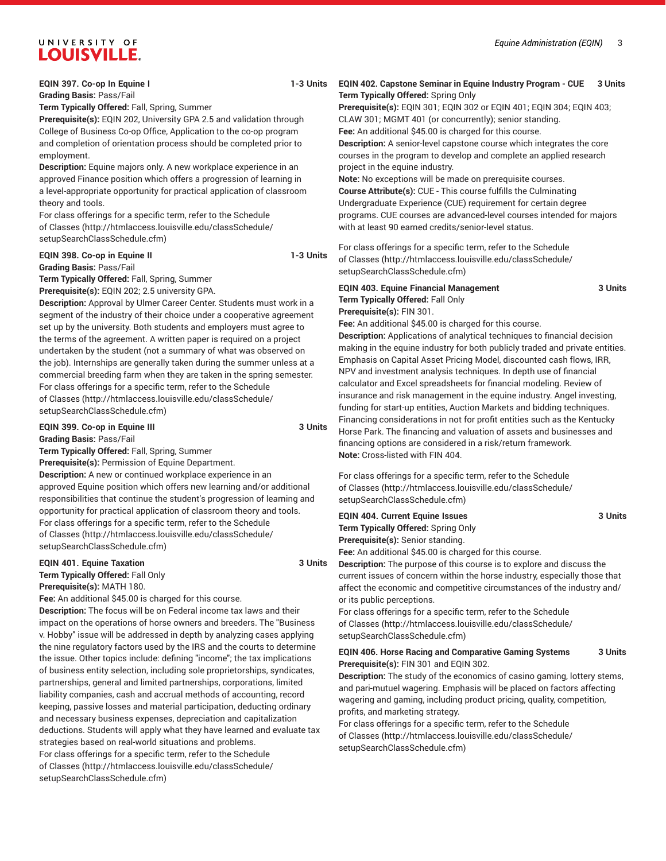# **EQIN 397. Co-op In Equine I 1-3 Units**

**Grading Basis:** Pass/Fail

**Term Typically Offered:** Fall, Spring, Summer

**Prerequisite(s):** EQIN 202, University GPA 2.5 and validation through College of Business Co-op Office, Application to the co-op program and completion of orientation process should be completed prior to employment.

**Description:** Equine majors only. A new workplace experience in an approved Finance position which offers a progression of learning in a level-appropriate opportunity for practical application of classroom theory and tools.

For class offerings for a specific term, refer to the [Schedule](http://htmlaccess.louisville.edu/classSchedule/setupSearchClassSchedule.cfm) [of Classes \(http://htmlaccess.louisville.edu/classSchedule/](http://htmlaccess.louisville.edu/classSchedule/setupSearchClassSchedule.cfm) [setupSearchClassSchedule.cfm\)](http://htmlaccess.louisville.edu/classSchedule/setupSearchClassSchedule.cfm)

# **EQIN 398. Co-op in Equine II 1-3 Units Grading Basis:** Pass/Fail

**Term Typically Offered:** Fall, Spring, Summer

**Prerequisite(s):** EQIN 202; 2.5 university GPA.

**Description:** Approval by Ulmer Career Center. Students must work in a segment of the industry of their choice under a cooperative agreement set up by the university. Both students and employers must agree to the terms of the agreement. A written paper is required on a project undertaken by the student (not a summary of what was observed on the job). Internships are generally taken during the summer unless at a commercial breeding farm when they are taken in the spring semester. For class offerings for a specific term, refer to the [Schedule](http://htmlaccess.louisville.edu/classSchedule/setupSearchClassSchedule.cfm) [of Classes \(http://htmlaccess.louisville.edu/classSchedule/](http://htmlaccess.louisville.edu/classSchedule/setupSearchClassSchedule.cfm) [setupSearchClassSchedule.cfm\)](http://htmlaccess.louisville.edu/classSchedule/setupSearchClassSchedule.cfm)

### **EQIN 399. Co-op in Equine III 3 Units Grading Basis:** Pass/Fail

**Term Typically Offered:** Fall, Spring, Summer

**Prerequisite(s):** Permission of Equine Department.

**Description:** A new or continued workplace experience in an approved Equine position which offers new learning and/or additional responsibilities that continue the student's progression of learning and opportunity for practical application of classroom theory and tools. For class offerings for a specific term, refer to the [Schedule](http://htmlaccess.louisville.edu/classSchedule/setupSearchClassSchedule.cfm) [of Classes \(http://htmlaccess.louisville.edu/classSchedule/](http://htmlaccess.louisville.edu/classSchedule/setupSearchClassSchedule.cfm) [setupSearchClassSchedule.cfm\)](http://htmlaccess.louisville.edu/classSchedule/setupSearchClassSchedule.cfm)

# **EQIN 401. Equine Taxation 3 Units Term Typically Offered:** Fall Only

**Prerequisite(s):** MATH 180.

**Fee:** An additional \$45.00 is charged for this course.

**Description:** The focus will be on Federal income tax laws and their impact on the operations of horse owners and breeders. The "Business v. Hobby" issue will be addressed in depth by analyzing cases applying the nine regulatory factors used by the IRS and the courts to determine the issue. Other topics include: defining "income"; the tax implications of business entity selection, including sole proprietorships, syndicates, partnerships, general and limited partnerships, corporations, limited liability companies, cash and accrual methods of accounting, record keeping, passive losses and material participation, deducting ordinary and necessary business expenses, depreciation and capitalization deductions. Students will apply what they have learned and evaluate tax strategies based on real-world situations and problems. For class offerings for a specific term, refer to the [Schedule](http://htmlaccess.louisville.edu/classSchedule/setupSearchClassSchedule.cfm) [of Classes \(http://htmlaccess.louisville.edu/classSchedule/](http://htmlaccess.louisville.edu/classSchedule/setupSearchClassSchedule.cfm) [setupSearchClassSchedule.cfm\)](http://htmlaccess.louisville.edu/classSchedule/setupSearchClassSchedule.cfm)

# **EQIN 402. Capstone Seminar in Equine Industry Program - CUE 3 Units Term Typically Offered:** Spring Only

**Prerequisite(s):** EQIN 301; EQIN 302 or EQIN 401; EQIN 304; EQIN 403; CLAW 301; MGMT 401 (or concurrently); senior standing.

**Fee:** An additional \$45.00 is charged for this course. **Description:** A senior-level capstone course which integrates the core courses in the program to develop and complete an applied research

project in the equine industry. **Note:** No exceptions will be made on prerequisite courses. **Course Attribute(s):** CUE - This course fulfills the Culminating Undergraduate Experience (CUE) requirement for certain degree programs. CUE courses are advanced-level courses intended for majors with at least 90 earned credits/senior-level status.

For class offerings for a specific term, refer to the [Schedule](http://htmlaccess.louisville.edu/classSchedule/setupSearchClassSchedule.cfm) [of Classes](http://htmlaccess.louisville.edu/classSchedule/setupSearchClassSchedule.cfm) ([http://htmlaccess.louisville.edu/classSchedule/](http://htmlaccess.louisville.edu/classSchedule/setupSearchClassSchedule.cfm) [setupSearchClassSchedule.cfm\)](http://htmlaccess.louisville.edu/classSchedule/setupSearchClassSchedule.cfm)

# **EQIN 403. Equine Financial Management 3 Units Term Typically Offered:** Fall Only

**Prerequisite(s):** FIN 301.

**Fee:** An additional \$45.00 is charged for this course.

**Description:** Applications of analytical techniques to financial decision making in the equine industry for both publicly traded and private entities. Emphasis on Capital Asset Pricing Model, discounted cash flows, IRR, NPV and investment analysis techniques. In depth use of financial calculator and Excel spreadsheets for financial modeling. Review of insurance and risk management in the equine industry. Angel investing, funding for start-up entities, Auction Markets and bidding techniques. Financing considerations in not for profit entities such as the Kentucky Horse Park. The financing and valuation of assets and businesses and financing options are considered in a risk/return framework. **Note:** Cross-listed with FIN 404.

For class offerings for a specific term, refer to the [Schedule](http://htmlaccess.louisville.edu/classSchedule/setupSearchClassSchedule.cfm) [of Classes](http://htmlaccess.louisville.edu/classSchedule/setupSearchClassSchedule.cfm) ([http://htmlaccess.louisville.edu/classSchedule/](http://htmlaccess.louisville.edu/classSchedule/setupSearchClassSchedule.cfm) [setupSearchClassSchedule.cfm\)](http://htmlaccess.louisville.edu/classSchedule/setupSearchClassSchedule.cfm)

# **EQIN 404. Current Equine Issues 3 Units Term Typically Offered:** Spring Only **Prerequisite(s):** Senior standing.

**Fee:** An additional \$45.00 is charged for this course.

**Description:** The purpose of this course is to explore and discuss the current issues of concern within the horse industry, especially those that affect the economic and competitive circumstances of the industry and/ or its public perceptions.

For class offerings for a specific term, refer to the [Schedule](http://htmlaccess.louisville.edu/classSchedule/setupSearchClassSchedule.cfm) [of Classes](http://htmlaccess.louisville.edu/classSchedule/setupSearchClassSchedule.cfm) ([http://htmlaccess.louisville.edu/classSchedule/](http://htmlaccess.louisville.edu/classSchedule/setupSearchClassSchedule.cfm) [setupSearchClassSchedule.cfm\)](http://htmlaccess.louisville.edu/classSchedule/setupSearchClassSchedule.cfm)

# **EQIN 406. Horse Racing and Comparative Gaming Systems 3 Units Prerequisite(s):** FIN 301 and EQIN 302.

**Description:** The study of the economics of casino gaming, lottery stems, and pari-mutuel wagering. Emphasis will be placed on factors affecting wagering and gaming, including product pricing, quality, competition, profits, and marketing strategy.

For class offerings for a specific term, refer to the [Schedule](http://htmlaccess.louisville.edu/classSchedule/setupSearchClassSchedule.cfm) [of Classes](http://htmlaccess.louisville.edu/classSchedule/setupSearchClassSchedule.cfm) ([http://htmlaccess.louisville.edu/classSchedule/](http://htmlaccess.louisville.edu/classSchedule/setupSearchClassSchedule.cfm) [setupSearchClassSchedule.cfm\)](http://htmlaccess.louisville.edu/classSchedule/setupSearchClassSchedule.cfm)